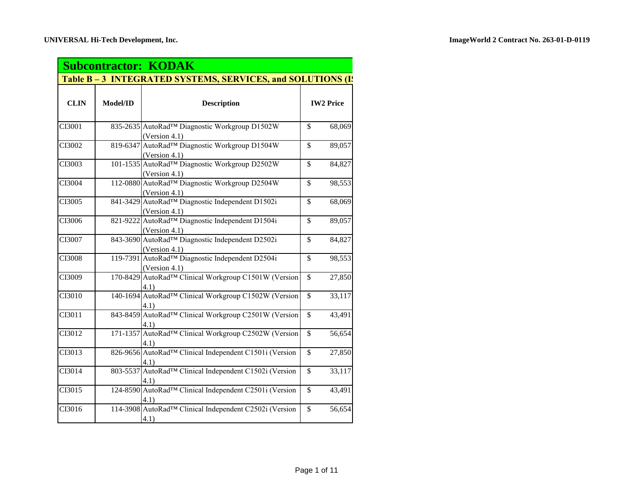| <b>Subcontractor: KODAK</b> |                                                             |                                                                               |                                    |  |
|-----------------------------|-------------------------------------------------------------|-------------------------------------------------------------------------------|------------------------------------|--|
|                             | Table B – 3 INTEGRATED SYSTEMS, SERVICES, and SOLUTIONS (I) |                                                                               |                                    |  |
| <b>CLIN</b>                 | Model/ID                                                    | <b>Description</b>                                                            | <b>IW2 Price</b>                   |  |
| CI3001                      |                                                             | 835-2635 AutoRad™ Diagnostic Workgroup D1502W<br>(Version 4.1)                | $\overline{\$}$<br>68,069          |  |
| CI3002                      |                                                             | 819-6347 AutoRad™ Diagnostic Workgroup D1504W<br>(Version 4.1)                | \$<br>89,057                       |  |
| CI3003                      |                                                             | 101-1535 AutoRad™ Diagnostic Workgroup D2502W<br>(Version 4.1)                | \$<br>84,827                       |  |
| CI3004                      |                                                             | 112-0880 AutoRad™ Diagnostic Workgroup D2504W<br>(Version 4.1)                | \$<br>98,553                       |  |
| CI3005                      |                                                             | 841-3429 AutoRad™ Diagnostic Independent D1502i<br>(Version 4.1)              | \$<br>68,069                       |  |
| CI3006                      |                                                             | 821-9222 AutoRad™ Diagnostic Independent D1504i<br>(Version 4.1)              | $\mathbb{S}$<br>89,057             |  |
| CI3007                      |                                                             | 843-3690 AutoRad <sup>TM</sup> Diagnostic Independent D2502i<br>(Version 4.1) | \$<br>84,827                       |  |
| CI3008                      |                                                             | 119-7391 AutoRad <sup>TM</sup> Diagnostic Independent D2504i<br>(Version 4.1) | $\mathbb{S}$<br>98,553             |  |
| CI3009                      |                                                             | 170-8429 AutoRad™ Clinical Workgroup C1501W (Version<br>4.1)                  | $\overline{\mathcal{S}}$<br>27,850 |  |
| CI3010                      |                                                             | 140-1694 AutoRad™ Clinical Workgroup C1502W (Version<br>4.1)                  | \$<br>33,117                       |  |
| CI3011                      |                                                             | 843-8459 AutoRad™ Clinical Workgroup C2501W (Version<br>4.1)                  | $\mathbb{S}$<br>43,491             |  |
| CI3012                      |                                                             | 171-1357 AutoRad™ Clinical Workgroup C2502W (Version<br>4.1)                  | $\mathbb{S}$<br>56,654             |  |
| CI3013                      |                                                             | 826-9656 AutoRad™ Clinical Independent C1501i (Version<br>4.1)                | $\mathbb{S}$<br>27,850             |  |
| CI3014                      |                                                             | 803-5537 AutoRad™ Clinical Independent C1502i (Version<br>4.1)                | $\overline{\mathbb{S}}$<br>33,117  |  |
| CI3015                      |                                                             | 124-8590 AutoRad™ Clinical Independent C2501i (Version<br>4.1)                | $\mathbb{S}$<br>43,491             |  |
| CI3016                      |                                                             | 114-3908 AutoRad™ Clinical Independent C2502i (Version<br>4.1)                | $\overline{\mathcal{S}}$<br>56,654 |  |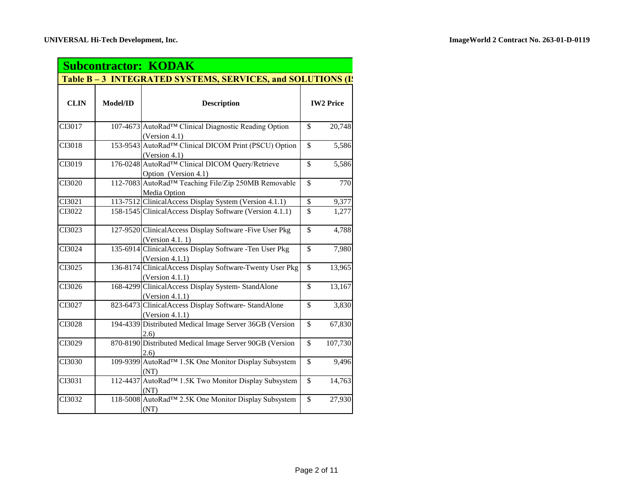| <b>Subcontractor: KODAK</b> |          |                                                                                    |                                    |
|-----------------------------|----------|------------------------------------------------------------------------------------|------------------------------------|
|                             |          | Table B – 3 INTEGRATED SYSTEMS, SERVICES, and SOLUTIONS (I)                        |                                    |
| <b>CLIN</b>                 | Model/ID | <b>Description</b>                                                                 | <b>IW2 Price</b>                   |
| CI3017                      |          | 107-4673 AutoRad™ Clinical Diagnostic Reading Option<br>(Version 4.1)              | \$<br>20,748                       |
| CI3018                      |          | 153-9543 AutoRad <sup>TM</sup> Clinical DICOM Print (PSCU) Option<br>(Version 4.1) | \$<br>5,586                        |
| CI3019                      |          | 176-0248 AutoRad™ Clinical DICOM Query/Retrieve<br>Option (Version 4.1)            | \$<br>5,586                        |
| CI3020                      |          | 112-7083 AutoRad <sup>TM</sup> Teaching File/Zip 250MB Removable<br>Media Option   | \$<br>770                          |
| CI3021                      |          | 113-7512 ClinicalAccess Display System (Version 4.1.1)                             | $\mathbb{S}$<br>9,377              |
| CI3022                      |          | 158-1545 Clinical Access Display Software (Version 4.1.1)                          | $\mathbb{S}$<br>1,277              |
| CI3023                      |          | 127-9520 ClinicalAccess Display Software - Five User Pkg<br>(Version 4.1.1)        | \$<br>4,788                        |
| CI3024                      |          | 135-6914 ClinicalAccess Display Software -Ten User Pkg<br>(Version 4.1.1)          | $\overline{\$}$<br>7,980           |
| CI3025                      |          | 136-8174 ClinicalAccess Display Software-Twenty User Pkg<br>(Version $4.1.1$ )     | $\overline{\$}$<br>13,965          |
| CI3026                      |          | 168-4299 ClinicalAccess Display System-StandAlone<br>(Version 4.1.1)               | $\mathbb{S}$<br>13,167             |
| CI3027                      |          | 823-6473 ClinicalAccess Display Software-StandAlone<br>(Version 4.1.1)             | \$<br>3,830                        |
| CI3028                      |          | 194-4339 Distributed Medical Image Server 36GB (Version<br>(2.6)                   | \$<br>67,830                       |
| CI3029                      |          | 870-8190 Distributed Medical Image Server 90GB (Version<br>(2.6)                   | \$<br>107,730                      |
| CI3030                      |          | 109-9399 AutoRad <sup>TM</sup> 1.5K One Monitor Display Subsystem<br>(NT)          | \$<br>9,496                        |
| CI3031                      |          | 112-4437 AutoRad™ 1.5K Two Monitor Display Subsystem<br>(NT)                       | $\overline{\mathcal{S}}$<br>14,763 |
| CI3032                      |          | 118-5008 AutoRad <sup>TM</sup> 2.5K One Monitor Display Subsystem<br>(NT)          | $\overline{\$}$<br>27,930          |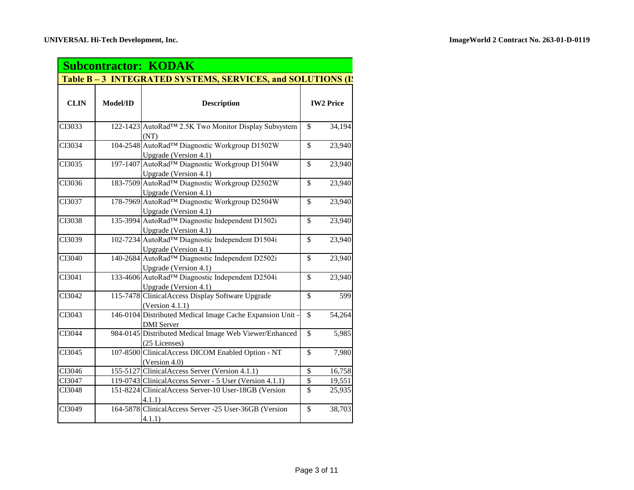| <b>Subcontractor: KODAK</b> |                                                           |                                                                              |                          |                  |
|-----------------------------|-----------------------------------------------------------|------------------------------------------------------------------------------|--------------------------|------------------|
|                             | Table B-3 INTEGRATED SYSTEMS, SERVICES, and SOLUTIONS (If |                                                                              |                          |                  |
| <b>CLIN</b>                 | Model/ID                                                  | <b>Description</b>                                                           |                          | <b>IW2 Price</b> |
| CI3033                      |                                                           | 122-1423 AutoRad™ 2.5K Two Monitor Display Subsystem<br>(NT)                 | $\mathbb{S}$             | 34,194           |
| CI3034                      |                                                           | 104-2548 AutoRad™ Diagnostic Workgroup D1502W<br>Upgrade (Version 4.1)       | $\overline{\mathbb{S}}$  | 23,940           |
| CI3035                      |                                                           | 197-1407 AutoRad™ Diagnostic Workgroup D1504W<br>Upgrade (Version 4.1)       | $\mathbb{S}$             | 23,940           |
| CI3036                      |                                                           | 183-7509 AutoRad™ Diagnostic Workgroup D2502W<br>Upgrade (Version 4.1)       | $\mathbb{S}$             | 23,940           |
| CI3037                      |                                                           | 178-7969 AutoRad™ Diagnostic Workgroup D2504W<br>Upgrade (Version 4.1)       | $\mathbb{S}$             | 23,940           |
| CI3038                      |                                                           | 135-3994 AutoRad™ Diagnostic Independent D1502i<br>Upgrade (Version 4.1)     | $\mathbb{S}$             | 23,940           |
| CI3039                      |                                                           | 102-7234 AutoRad™ Diagnostic Independent D1504i<br>Upgrade (Version 4.1)     | $\mathbb{S}$             | 23,940           |
| CI3040                      |                                                           | 140-2684 AutoRad™ Diagnostic Independent D2502i<br>Upgrade (Version 4.1)     | $\mathbb{S}$             | 23,940           |
| CI3041                      |                                                           | 133-4606 AutoRad™ Diagnostic Independent D2504i<br>Upgrade (Version 4.1)     | $\mathbb{S}$             | 23,940           |
| CI3042                      |                                                           | 115-7478 ClinicalAccess Display Software Upgrade<br>(Version 4.1.1)          | \$                       | 599              |
| CI3043                      |                                                           | 146-0104 Distributed Medical Image Cache Expansion Unit<br><b>DMI</b> Server | \$                       | 54,264           |
| CI3044                      |                                                           | 984-0145 Distributed Medical Image Web Viewer/Enhanced<br>(25 Licenses)      | \$                       | 5,985            |
| CI3045                      |                                                           | 107-8500 ClinicalAccess DICOM Enabled Option - NT<br>(Version 4.0)           | \$                       | 7,980            |
| CI3046                      |                                                           | 155-5127 ClinicalAccess Server (Version 4.1.1)                               | $\$$                     | 16,758           |
| CI3047                      |                                                           | 119-0743 ClinicalAccess Server - 5 User (Version 4.1.1)                      | $\overline{\mathcal{S}}$ | 19,551           |
| CI3048                      |                                                           | 151-8224 ClinicalAccess Server-10 User-18GB (Version<br>4.1.1)               | \$                       | 25,935           |
| CI3049                      |                                                           | 164-5878 ClinicalAccess Server -25 User-36GB (Version<br>4.1.1)              | $\mathbb{S}$             | 38,703           |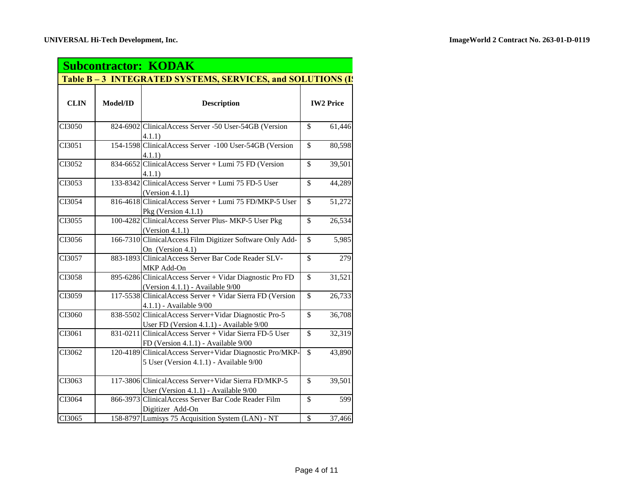| <b>Subcontractor: KODAK</b> |                 |                                                                                                     |                          |                  |
|-----------------------------|-----------------|-----------------------------------------------------------------------------------------------------|--------------------------|------------------|
|                             |                 | Table B – 3 INTEGRATED SYSTEMS, SERVICES, and SOLUTIONS (I)                                         |                          |                  |
| <b>CLIN</b>                 | <b>Model/ID</b> | <b>Description</b>                                                                                  |                          | <b>IW2 Price</b> |
| CI3050                      |                 | 824-6902 ClinicalAccess Server -50 User-54GB (Version<br>4.1.1)                                     | \$                       | 61,446           |
| CI3051                      |                 | 154-1598 ClinicalAccess Server -100 User-54GB (Version<br>4.1.1)                                    | $\overline{\mathcal{S}}$ | 80,598           |
| CI3052                      |                 | 834-6652 ClinicalAccess Server + Lumi 75 FD (Version<br>4.1.1)                                      | $\mathbb{S}$             | 39,501           |
| CI3053                      |                 | 133-8342 ClinicalAccess Server + Lumi 75 FD-5 User<br>(Version 4.1.1)                               | $\mathbb{S}$             | 44,289           |
| CI3054                      |                 | 816-4618 ClinicalAccess Server + Lumi 75 FD/MKP-5 User<br>Pkg (Version 4.1.1)                       | $\mathbb{S}$             | 51,272           |
| CI3055                      |                 | 100-4282 ClinicalAccess Server Plus- MKP-5 User Pkg<br>(Version $4.1.1$ )                           | $\mathbb{S}$             | 26,534           |
| CI3056                      |                 | 166-7310 ClinicalAccess Film Digitizer Software Only Add-<br>On (Version 4.1)                       | $\mathbb{S}$             | 5,985            |
| CI3057                      |                 | 883-1893 ClinicalAccess Server Bar Code Reader SLV-<br>MKP Add-On                                   | $\mathbb{S}$             | 279              |
| CI3058                      |                 | 895-6286 ClinicalAccess Server + Vidar Diagnostic Pro FD<br>(Version 4.1.1) - Available 9/00        | $\overline{\mathcal{S}}$ | 31,521           |
| CI3059                      |                 | 117-5538 ClinicalAccess Server + Vidar Sierra FD (Version<br>4.1.1) - Available 9/00                | $\mathbb{S}$             | 26,733           |
| CI3060                      |                 | 838-5502 ClinicalAccess Server+Vidar Diagnostic Pro-5<br>User FD (Version 4.1.1) - Available 9/00   | $\mathbb{S}$             | 36,708           |
| CI3061                      |                 | $831-0211$ Clinical Access Server + Vidar Sierra FD-5 User<br>FD (Version 4.1.1) - Available 9/00   | \$                       | 32,319           |
| CI3062                      |                 | 120-4189 ClinicalAccess Server+Vidar Diagnostic Pro/MKP-<br>5 User (Version 4.1.1) - Available 9/00 | \$                       | 43,890           |
| CI3063                      |                 | 117-3806 ClinicalAccess Server+Vidar Sierra FD/MKP-5<br>User (Version 4.1.1) - Available 9/00       | $\mathbb{S}$             | 39,501           |
| CI3064                      |                 | 866-3973 ClinicalAccess Server Bar Code Reader Film<br>Digitizer Add-On                             | $\overline{\mathbb{S}}$  | 599              |
| CI3065                      |                 | 158-8797 Lumisys 75 Acquisition System (LAN) - NT                                                   | \$                       | 37,466           |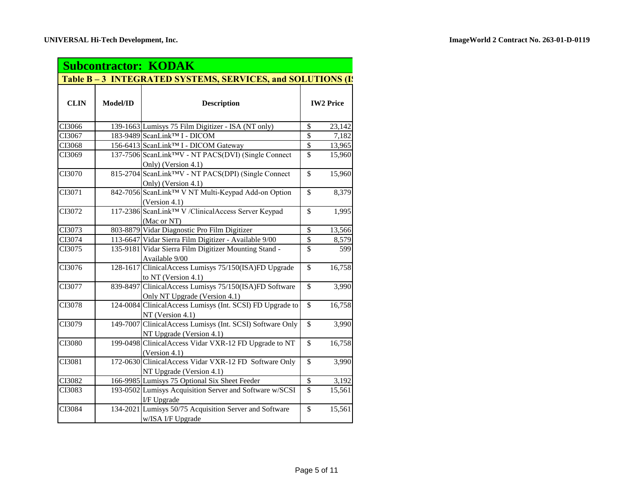| <b>Subcontractor: KODAK</b>                               |          |                                                                                         |                          |                  |
|-----------------------------------------------------------|----------|-----------------------------------------------------------------------------------------|--------------------------|------------------|
| Table B-3 INTEGRATED SYSTEMS, SERVICES, and SOLUTIONS (I) |          |                                                                                         |                          |                  |
| <b>CLIN</b>                                               | Model/ID | <b>Description</b>                                                                      |                          | <b>IW2 Price</b> |
| CI3066                                                    |          | 139-1663 Lumisys 75 Film Digitizer - ISA (NT only)                                      | $\overline{\mathcal{S}}$ | 23,142           |
| CI3067                                                    |          | 183-9489 ScanLink™ I - DICOM                                                            | \$                       | 7,182            |
| CI3068                                                    |          | 156-6413 ScanLink™ I - DICOM Gateway                                                    | \$                       | 13,965           |
| CI3069                                                    |          | 137-7506 ScanLink <sup>TM</sup> V - NT PACS(DVI) (Single Connect<br>Only) (Version 4.1) | $\mathbf{\hat{S}}$       | 15,960           |
| CI3070                                                    |          | 815-2704 ScanLink™V - NT PACS(DPI) (Single Connect<br>Only) (Version 4.1)               | $\overline{\mathbb{S}}$  | 15,960           |
| CI3071                                                    |          | 842-7056 ScanLinkTM V NT Multi-Keypad Add-on Option<br>(Version 4.1)                    | $\overline{\mathbb{S}}$  | 8,379            |
| CI3072                                                    |          | 117-2386 ScanLink™ V /ClinicalAccess Server Keypad<br>(Mac or NT)                       | \$                       | 1,995            |
| CI3073                                                    |          | 803-8879 Vidar Diagnostic Pro Film Digitizer                                            | \$                       | 13,566           |
| CI3074                                                    |          | 113-6647 Vidar Sierra Film Digitizer - Available 9/00                                   | \$                       | 8,579            |
| CI3075                                                    |          | 135-9181 Vidar Sierra Film Digitizer Mounting Stand -<br>Available 9/00                 | $\mathbb{S}$             | 599              |
| CI3076                                                    |          | 128-1617 ClinicalAccess Lumisys 75/150(ISA)FD Upgrade<br>to NT (Version 4.1)            | \$                       | 16,758           |
| CI3077                                                    |          | 839-8497 ClinicalAccess Lumisys 75/150(ISA)FD Software<br>Only NT Upgrade (Version 4.1) | $\mathbf{\hat{S}}$       | 3,990            |
| CI3078                                                    |          | 124-0084 ClinicalAccess Lumisys (Int. SCSI) FD Upgrade to<br>NT (Version 4.1)           | $\overline{\mathbb{S}}$  | 16,758           |
| CI3079                                                    |          | 149-7007 ClinicalAccess Lumisys (Int. SCSI) Software Only<br>NT Upgrade (Version 4.1)   | $\overline{\$}$          | 3,990            |
| CI3080                                                    |          | 199-0498 ClinicalAccess Vidar VXR-12 FD Upgrade to NT<br>(Version 4.1)                  | \$                       | 16,758           |
| CI3081                                                    |          | 172-0630 ClinicalAccess Vidar VXR-12 FD Software Only<br>NT Upgrade (Version 4.1)       | \$                       | 3,990            |
| CI3082                                                    |          | 166-9985 Lumisys 75 Optional Six Sheet Feeder                                           | \$                       | 3,192            |
| CI3083                                                    |          | 193-0502 Lumisys Acquisition Server and Software w/SCSI<br>I/F Upgrade                  | $\overline{\mathbb{S}}$  | 15,561           |
| CI3084                                                    |          | 134-2021 Lumisys 50/75 Acquisition Server and Software<br>w/ISA I/F Upgrade             | \$                       | 15,561           |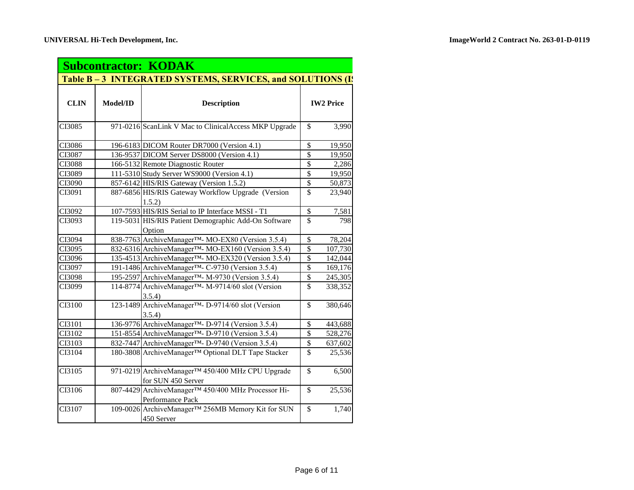| <b>Subcontractor: KODAK</b>                               |          |                                                                        |                          |                  |
|-----------------------------------------------------------|----------|------------------------------------------------------------------------|--------------------------|------------------|
| Table B-3 INTEGRATED SYSTEMS, SERVICES, and SOLUTIONS (I) |          |                                                                        |                          |                  |
| <b>CLIN</b>                                               | Model/ID | <b>Description</b>                                                     |                          | <b>IW2 Price</b> |
| CI3085                                                    |          | 971-0216 ScanLink V Mac to ClinicalAccess MKP Upgrade                  | \$                       | 3,990            |
| CI3086                                                    |          | 196-6183 DICOM Router DR7000 (Version 4.1)                             | \$                       | 19,950           |
| CI3087                                                    |          | 136-9537 DICOM Server DS8000 (Version 4.1)                             | \$                       | 19,950           |
| CI3088                                                    |          | 166-5132 Remote Diagnostic Router                                      | \$                       | 2,286            |
| CI3089                                                    |          | 111-5310 Study Server WS9000 (Version 4.1)                             | \$                       | 19,950           |
| CI3090                                                    |          | 857-6142 HIS/RIS Gateway (Version 1.5.2)                               | \$                       | 50,873           |
| CI3091                                                    |          | 887-6856 HIS/RIS Gateway Workflow Upgrade (Version<br>1.5.2)           | $\mathbb{S}$             | 23,940           |
| CI3092                                                    |          | 107-7593 HIS/RIS Serial to IP Interface MSSI - T1                      | \$                       | 7,581            |
| CI3093                                                    |          | 119-5031 HIS/RIS Patient Demographic Add-On Software<br>Option         | $\mathcal{S}$            | 798              |
| CI3094                                                    |          | 838-7763 ArchiveManager™- MO-EX80 (Version 3.5.4)                      | \$                       | 78,204           |
| CI3095                                                    |          | 832-6316 ArchiveManager™- MO-EX160 (Version 3.5.4)                     | $\overline{\mathbb{S}}$  | 107,730          |
| CI3096                                                    |          | 135-4513 ArchiveManager™- MO-EX320 (Version 3.5.4)                     | \$                       | 142,044          |
| CI3097                                                    |          | 191-1486 ArchiveManager <sup>™</sup> - C-9730 (Version 3.5.4)          | $\overline{\mathbb{S}}$  | 169,176          |
| CI3098                                                    |          | 195-2597 ArchiveManager <sup>™</sup> - M-9730 (Version 3.5.4)          | \$                       | 245,305          |
| CI3099                                                    |          | 114-8774 ArchiveManager™- M-9714/60 slot (Version<br>3.5.4)            | \$                       | 338,352          |
| CI3100                                                    |          | 123-1489 ArchiveManager™- D-9714/60 slot (Version<br>3.5.4)            | \$                       | 380,646          |
| CI3101                                                    |          | 136-9776 ArchiveManager <sup>™</sup> - D-9714 (Version 3.5.4)          | \$                       | 443,688          |
| CI3102                                                    |          | 151-8554 ArchiveManager <sup>™</sup> - D-9710 (Version 3.5.4)          | \$                       | 528,276          |
| CI3103                                                    |          | 832-7447 ArchiveManager <sup>™</sup> - D-9740 (Version 3.5.4)          | \$                       | 637,602          |
| CI3104                                                    |          | 180-3808 ArchiveManager™ Optional DLT Tape Stacker                     | \$                       | 25,536           |
| CI3105                                                    |          | 971-0219 ArchiveManager™ 450/400 MHz CPU Upgrade<br>for SUN 450 Server | \$                       | 6,500            |
| CI3106                                                    |          | 807-4429 ArchiveManager™ 450/400 MHz Processor Hi-<br>Performance Pack | $\mathbb{S}$             | 25,536           |
| CI3107                                                    |          | 109-0026 ArchiveManager™ 256MB Memory Kit for SUN<br>450 Server        | $\overline{\mathcal{S}}$ | 1,740            |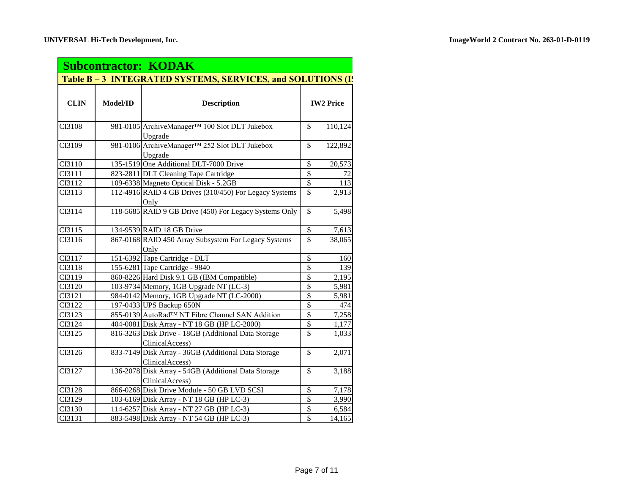| <b>Subcontractor: KODAK</b> |          |                                                                        |                          |                  |
|-----------------------------|----------|------------------------------------------------------------------------|--------------------------|------------------|
|                             |          | Table B-3 INTEGRATED SYSTEMS, SERVICES, and SOLUTIONS (I)              |                          |                  |
| <b>CLIN</b>                 | Model/ID | <b>Description</b>                                                     |                          | <b>IW2 Price</b> |
| CI3108                      |          | 981-0105 ArchiveManager™ 100 Slot DLT Jukebox<br>Upgrade               | \$                       | 110,124          |
| CI3109                      |          | 981-0106 ArchiveManager™ 252 Slot DLT Jukebox<br>Upgrade               | $\overline{\mathcal{S}}$ | 122,892          |
| CI3110                      |          | 135-1519 One Additional DLT-7000 Drive                                 | \$                       | 20,573           |
| CI3111                      |          | 823-2811 DLT Cleaning Tape Cartridge                                   | $\overline{\mathcal{S}}$ | 72               |
| CI3112                      |          | 109-6338 Magneto Optical Disk - 5.2GB                                  | $\mathbb{S}$             | 113              |
| CI3113                      |          | 112-4916 RAID 4 GB Drives (310/450) For Legacy Systems<br>Only         | $\mathbb{S}$             | 2,913            |
| CI3114                      |          | 118-5685 RAID 9 GB Drive (450) For Legacy Systems Only                 | $\mathbb{S}$             | 5,498            |
| CI3115                      |          | 134-9539 RAID 18 GB Drive                                              | $\$$                     | 7,613            |
| CI3116                      |          | 867-0168 RAID 450 Array Subsystem For Legacy Systems<br>Only           | $\mathbb{S}$             | 38,065           |
| CI3117                      |          | 151-6392 Tape Cartridge - DLT                                          | \$                       | 160              |
| CI3118                      |          | 155-6281 Tape Cartridge - 9840                                         | $\overline{\mathcal{S}}$ | 139              |
| CI3119                      |          | 860-8226 Hard Disk 9.1 GB (IBM Compatible)                             | $\overline{\mathbb{S}}$  | 2,195            |
| CI3120                      |          | 103-9734 Memory, 1GB Upgrade NT (LC-3)                                 | \$                       | 5,981            |
| CI3121                      |          | 984-0142 Memory, 1GB Upgrade NT (LC-2000)                              | $\overline{\$}$          | 5,981            |
| CI3122                      |          | 197-0433 UPS Backup 650N                                               | $\overline{\mathcal{S}}$ | 474              |
| CI3123                      |          | 855-0139 AutoRad™ NT Fibre Channel SAN Addition                        | $\overline{\mathcal{S}}$ | 7,258            |
| CI3124                      |          | 404-0081 Disk Array - NT 18 GB (HP LC-2000)                            | \$                       | 1,177            |
| CI3125                      |          | 816-3263 Disk Drive - 18GB (Additional Data Storage<br>ClinicalAccess) | $\mathbb{S}$             | 1,033            |
| $CI3\overline{126}$         |          | 833-7149 Disk Array - 36GB (Additional Data Storage<br>ClinicalAccess) | $\mathbb{S}$             | 2,071            |
| CI3127                      |          | 136-2078 Disk Array - 54GB (Additional Data Storage<br>ClinicalAccess) | \$                       | 3,188            |
| CI3128                      |          | 866-0268 Disk Drive Module - 50 GB LVD SCSI                            | \$                       | 7,178            |
| CI3129                      |          | 103-6169 Disk Array - NT 18 GB (HP LC-3)                               | $\overline{\mathcal{S}}$ | 3,990            |
| CI3130                      |          | 114-6257 Disk Array - NT 27 GB (HP LC-3)                               | \$                       | 6,584            |
| CI3131                      |          | 883-5498 Disk Array - NT 54 GB (HP LC-3)                               | $\overline{\mathbf{S}}$  | 14,165           |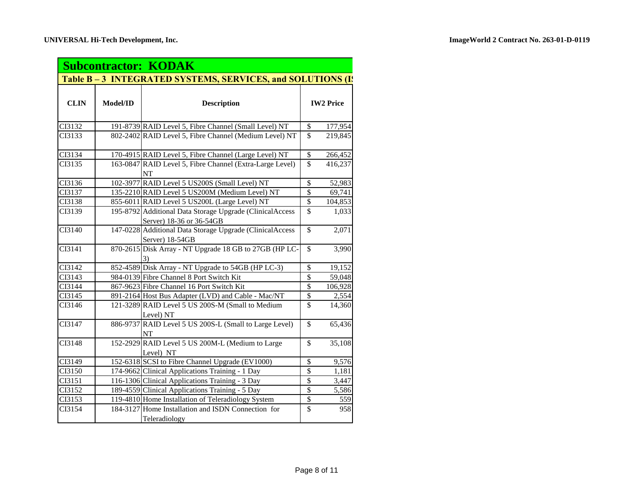| <b>Subcontractor: KODAK</b> |          |                                                                                      |                          |                  |
|-----------------------------|----------|--------------------------------------------------------------------------------------|--------------------------|------------------|
|                             |          | Table B – 3 INTEGRATED SYSTEMS, SERVICES, and SOLUTIONS (I)                          |                          |                  |
| <b>CLIN</b>                 | Model/ID | <b>Description</b>                                                                   |                          | <b>IW2 Price</b> |
| CI3132                      |          | 191-8739 RAID Level 5, Fibre Channel (Small Level) NT                                | \$                       | 177,954          |
| CI3133                      |          | 802-2402 RAID Level 5, Fibre Channel (Medium Level) NT                               | $\overline{\mathbb{S}}$  | 219,845          |
| CI3134                      |          | 170-4915 RAID Level 5, Fibre Channel (Large Level) NT                                | \$                       | 266,452          |
| CI3135                      |          | 163-0847 RAID Level 5, Fibre Channel (Extra-Large Level)<br>NT                       | \$                       | 416,237          |
| CI3136                      |          | 102-3977 RAID Level 5 US200S (Small Level) NT                                        | \$                       | 52,983           |
| CI3137                      |          | 135-2210 RAID Level 5 US200M (Medium Level) NT                                       | \$                       | 69,741           |
| CI3138                      |          | 855-6011 RAID Level 5 US200L (Large Level) NT                                        | \$                       | 104,853          |
| CI3139                      |          | 195-8792 Additional Data Storage Upgrade (ClinicalAccess<br>Server) 18-36 or 36-54GB | \$                       | 1,033            |
| CI3140                      |          | 147-0228 Additional Data Storage Upgrade (ClinicalAccess<br>Server) 18-54GB          | \$                       | 2,071            |
| CI3141                      |          | 870-2615 Disk Array - NT Upgrade 18 GB to 27GB (HP LC-                               | $\overline{\mathcal{S}}$ | 3,990            |
| CI3142                      |          | 852-4589 Disk Array - NT Upgrade to 54GB (HP LC-3)                                   | $\overline{\mathcal{S}}$ | 19,152           |
| CI3143                      |          | 984-0139 Fibre Channel 8 Port Switch Kit                                             | $\overline{\mathbb{S}}$  | 59,048           |
| CI3144                      |          | 867-9623 Fibre Channel 16 Port Switch Kit                                            | \$                       | 106,928          |
| CI3145                      |          | 891-2164 Host Bus Adapter (LVD) and Cable - Mac/NT                                   | $\overline{\mathcal{S}}$ | 2,554            |
| CI3146                      |          | 121-3289 RAID Level 5 US 200S-M (Small to Medium<br>Level) NT                        | \$                       | 14,360           |
| CI3147                      |          | 886-9737 RAID Level 5 US 200S-L (Small to Large Level)<br>NT                         | \$                       | 65,436           |
| CI3148                      |          | 152-2929 RAID Level 5 US 200M-L (Medium to Large<br>Level) NT                        | \$                       | 35,108           |
| CI3149                      |          | 152-6318 SCSI to Fibre Channel Upgrade (EV1000)                                      | \$                       | 9,576            |
| CI3150                      |          | 174-9662 Clinical Applications Training - 1 Day                                      | $\overline{\mathbb{S}}$  | 1,181            |
| CI3151                      |          | 116-1306 Clinical Applications Training - 3 Day                                      | \$                       | 3,447            |
| CI3152                      |          | 189-4559 Clinical Applications Training - 5 Day                                      | $\overline{\mathcal{S}}$ | 5,586            |
| CI3153                      |          | 119-4810 Home Installation of Teleradiology System                                   | \$                       | 559              |
| CI3154                      |          | 184-3127 Home Installation and ISDN Connection for<br>Teleradiology                  | $\overline{\mathbb{S}}$  | 958              |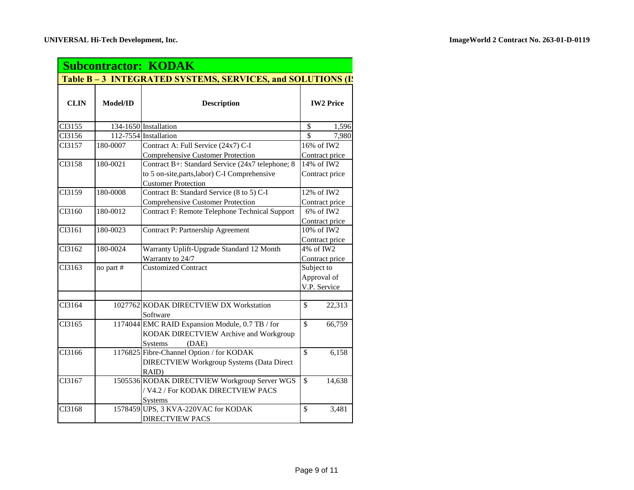| <b>Subcontractor: KODAK</b> |                                                           |                                                   |                             |  |  |
|-----------------------------|-----------------------------------------------------------|---------------------------------------------------|-----------------------------|--|--|
|                             | Table B-3 INTEGRATED SYSTEMS, SERVICES, and SOLUTIONS (I) |                                                   |                             |  |  |
| <b>CLIN</b>                 | Model/ID                                                  | <b>Description</b>                                | <b>IW2 Price</b>            |  |  |
| CI3155                      |                                                           | 134-1650 Installation                             | \$<br>1,596                 |  |  |
| CI3156                      |                                                           | 112-7554 Installation                             | 7,980<br>$\mathbf{\hat{S}}$ |  |  |
| CI3157                      | 180-0007                                                  | Contract A: Full Service (24x7) C-I               | 16% of IW2                  |  |  |
|                             |                                                           | <b>Comprehensive Customer Protection</b>          | Contract price              |  |  |
| CI3158                      | 180-0021                                                  | Contract B+: Standard Service (24x7 telephone; 8) | 14% of IW2                  |  |  |
|                             |                                                           | to 5 on-site, parts, labor) C-I Comprehensive     | Contract price              |  |  |
|                             |                                                           | <b>Customer Protection</b>                        |                             |  |  |
| CI3159                      | 180-0008                                                  | Contract B: Standard Service (8 to 5) C-I         | 12% of IW2                  |  |  |
|                             |                                                           | Comprehensive Customer Protection                 | Contract price              |  |  |
| CI3160                      | 180-0012                                                  | Contract F: Remote Telephone Technical Support    | 6% of IW2                   |  |  |
|                             |                                                           |                                                   | Contract price              |  |  |
| CI3161                      | 180-0023                                                  | <b>Contract P: Partnership Agreement</b>          | 10% of IW2                  |  |  |
|                             |                                                           |                                                   | Contract price              |  |  |
| CI3162                      | 180-0024                                                  | Warranty Uplift-Upgrade Standard 12 Month         | 4% of IW2                   |  |  |
|                             |                                                           | Warranty to 24/7                                  | Contract price              |  |  |
| CI3163                      | no part #                                                 | <b>Customized Contract</b>                        | Subject to                  |  |  |
|                             |                                                           |                                                   | Approval of                 |  |  |
|                             |                                                           |                                                   | V.P. Service                |  |  |
|                             |                                                           |                                                   |                             |  |  |
| CI3164                      |                                                           | 1027762 KODAK DIRECTVIEW DX Workstation           | \$<br>22,313                |  |  |
|                             |                                                           | Software                                          |                             |  |  |
| CI3165                      |                                                           | 1174044 EMC RAID Expansion Module, 0.7 TB / for   | $\mathbb{S}$<br>66,759      |  |  |
|                             |                                                           | KODAK DIRECTVIEW Archive and Workgroup            |                             |  |  |
|                             |                                                           | (DAE)<br><b>Systems</b>                           |                             |  |  |
| CI3166                      |                                                           | 1176825 Fibre-Channel Option / for KODAK          | \$<br>6,158                 |  |  |
|                             |                                                           | <b>DIRECTVIEW Workgroup Systems (Data Direct</b>  |                             |  |  |
|                             |                                                           | RAID)                                             |                             |  |  |
| CI3167                      |                                                           | 1505536 KODAK DIRECTVIEW Workgroup Server WGS     | \$<br>14,638                |  |  |
|                             |                                                           | / V4.2 / For KODAK DIRECTVIEW PACS                |                             |  |  |
|                             |                                                           | <b>Systems</b>                                    |                             |  |  |
| CI3168                      |                                                           | 1578459 UPS, 3 KVA-220VAC for KODAK               | $\mathbb{S}$<br>3,481       |  |  |
|                             |                                                           | <b>DIRECTVIEW PACS</b>                            |                             |  |  |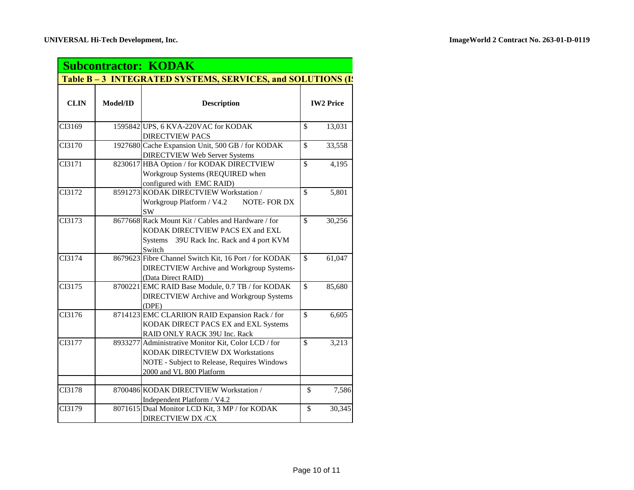| <b>Subcontractor: KODAK</b> |                                                             |                                                                                                                                                                    |                         |                  |  |
|-----------------------------|-------------------------------------------------------------|--------------------------------------------------------------------------------------------------------------------------------------------------------------------|-------------------------|------------------|--|
|                             | Table B – 3 INTEGRATED SYSTEMS, SERVICES, and SOLUTIONS (I) |                                                                                                                                                                    |                         |                  |  |
| <b>CLIN</b>                 | Model/ID                                                    | <b>Description</b>                                                                                                                                                 |                         | <b>IW2 Price</b> |  |
| CI3169                      |                                                             | 1595842 UPS, 6 KVA-220VAC for KODAK<br><b>DIRECTVIEW PACS</b>                                                                                                      | \$                      | 13,031           |  |
| CI3170                      |                                                             | 1927680 Cache Expansion Unit, 500 GB / for KODAK<br><b>DIRECTVIEW Web Server Systems</b>                                                                           | \$                      | 33,558           |  |
| CI3171                      |                                                             | 8230617 HBA Option / for KODAK DIRECTVIEW<br>Workgroup Systems (REQUIRED when<br>configured with EMC RAID)                                                         | $\mathbf{\hat{S}}$      | 4,195            |  |
| CI3172                      |                                                             | 8591273 KODAK DIRECTVIEW Workstation /<br>Workgroup Platform / V4.2<br>NOTE-FOR DX<br><b>SW</b>                                                                    | \$                      | 5,801            |  |
| CI3173                      |                                                             | 8677668 Rack Mount Kit / Cables and Hardware / for<br>KODAK DIRECTVIEW PACS EX and EXL<br>Systems<br>39U Rack Inc. Rack and 4 port KVM<br>Switch                   | $\mathbb{S}$            | 30,256           |  |
| CI3174                      |                                                             | 8679623 Fibre Channel Switch Kit, 16 Port / for KODAK<br><b>DIRECTVIEW Archive and Workgroup Systems-</b><br>(Data Direct RAID)                                    | $\overline{\mathbb{S}}$ | 61,047           |  |
| CI3175                      |                                                             | 8700221 EMC RAID Base Module, 0.7 TB / for KODAK<br><b>DIRECTVIEW Archive and Workgroup Systems</b><br>(DPE)                                                       | \$                      | 85,680           |  |
| CI3176                      |                                                             | 8714123 EMC CLARIION RAID Expansion Rack / for<br>KODAK DIRECT PACS EX and EXL Systems<br>RAID ONLY RACK 39U Inc. Rack                                             | $\overline{\mathbb{S}}$ | 6,605            |  |
| CI3177                      |                                                             | 8933277 Administrative Monitor Kit, Color LCD / for<br>KODAK DIRECTVIEW DX Workstations<br>NOTE - Subject to Release, Requires Windows<br>2000 and VL 800 Platform | \$                      | 3,213            |  |
| CI3178                      |                                                             | 8700486 KODAK DIRECTVIEW Workstation /<br>Independent Platform / V4.2                                                                                              | $\overline{\mathbb{S}}$ | 7,586            |  |
| CI3179                      |                                                             | 8071615 Dual Monitor LCD Kit, 3 MP / for KODAK<br><b>DIRECTVIEW DX/CX</b>                                                                                          | \$                      | 30,345           |  |